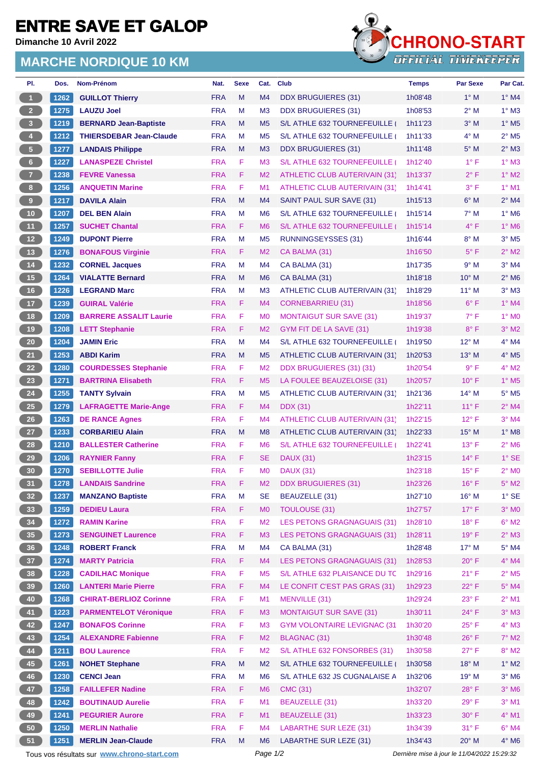## **ENTRE SAVE ET GALOP**

**Dimanche 10 Avril 2022**

## **MARCHE NORDIQUE 10 KM**



| PI.                     | Dos. | Nom-Prénom                                  | Nat.       | <b>Sexe</b> | Cat.                        | <b>Club</b>                          | <b>Temps</b>                                | <b>Par Sexe</b> | Par Cat.                   |  |
|-------------------------|------|---------------------------------------------|------------|-------------|-----------------------------|--------------------------------------|---------------------------------------------|-----------------|----------------------------|--|
| $\vert$ 1               | 1262 | <b>GUILLOT Thierry</b>                      | <b>FRA</b> | M           | M <sub>4</sub>              | DDX BRUGUIERES (31)                  | 1h08'48                                     | $1^\circ$ M     | $1^\circ$ M4               |  |
| $\overline{2}$          | 1275 | <b>LAUZU Joel</b>                           | <b>FRA</b> | M           | M <sub>3</sub>              | <b>DDX BRUGUIERES (31)</b>           | 1h08'53                                     | $2^{\circ}$ M   | $1^\circ$ M3               |  |
| $\overline{\mathbf{3}}$ | 1219 | <b>BERNARD Jean-Baptiste</b>                | <b>FRA</b> | M           | M <sub>5</sub>              | S/L ATHLE 632 TOURNEFEUILLE          | 1h11'23                                     | $3°$ M          | $1^\circ$ M <sub>5</sub>   |  |
| 4 <sup>1</sup>          | 1212 | <b>THIERSDEBAR Jean-Claude</b>              | <b>FRA</b> | М           | M <sub>5</sub>              | S/L ATHLE 632 TOURNEFEUILLE          | 1h11'33                                     | $4^\circ$ M     | $2^{\circ}$ M <sub>5</sub> |  |
| ${\bf 5}$               | 1277 | <b>LANDAIS Philippe</b>                     | <b>FRA</b> | M           | M <sub>3</sub>              | <b>DDX BRUGUIERES (31)</b>           | 1h11'48                                     | $5^\circ$ M     | $2^{\circ}$ M3             |  |
| $6\phantom{.}6$         | 1227 | <b>LANASPEZE Christel</b>                   | <b>FRA</b> | F           | M <sub>3</sub>              | S/L ATHLE 632 TOURNEFEUILLE (        | 1h12'40                                     | $1^{\circ}$ F   | $1^\circ$ M3               |  |
| $\overline{7}$          | 1238 | <b>FEVRE Vanessa</b>                        | <b>FRA</b> | F.          | M <sub>2</sub>              | <b>ATHLETIC CLUB AUTERIVAIN (31)</b> | 1h13'37                                     | $2^{\circ}$ F   | $1^\circ$ M2               |  |
| 8 <sup>1</sup>          | 1256 | <b>ANQUETIN Marine</b>                      | <b>FRA</b> | F           | M1                          | <b>ATHLETIC CLUB AUTERIVAIN (31)</b> | 1h14'41                                     | $3^{\circ}$ F   | $1°$ M1                    |  |
| $\overline{9}$          | 1217 | <b>DAVILA Alain</b>                         | <b>FRA</b> | M           | M4                          | SAINT PAUL SUR SAVE (31)             | 1h15'13                                     | $6^\circ$ M     | $2^{\circ}$ M4             |  |
| $10$                    | 1207 | <b>DEL BEN Alain</b>                        | <b>FRA</b> | M           | M <sub>6</sub>              | S/L ATHLE 632 TOURNEFEUILLE          | 1h15'14                                     | $7^\circ$ M     | $1^\circ$ M6               |  |
| 11                      | 1257 | <b>SUCHET Chantal</b>                       | <b>FRA</b> | F           | M <sub>6</sub>              | S/L ATHLE 632 TOURNEFEUILLE          | 1h15'14                                     | $4^{\circ}$ F   | $1^\circ$ M6               |  |
| $12$                    | 1249 | <b>DUPONT Pierre</b>                        | <b>FRA</b> | M           | M <sub>5</sub>              | <b>RUNNINGSEYSSES (31)</b>           | 1h16'44                                     | $8^\circ$ M     | $3°$ M <sub>5</sub>        |  |
| $13$                    | 1276 | <b>BONAFOUS Virginie</b>                    | <b>FRA</b> | F.          | M <sub>2</sub>              | CA BALMA (31)                        | 1h16'50                                     | $5^{\circ}$ F   | $2^{\circ}$ M2             |  |
| $14$                    | 1232 | <b>CORNEL Jacques</b>                       | <b>FRA</b> | M           | M4                          | CA BALMA (31)                        | 1h17'35                                     | 9° M            | $3°$ M4                    |  |
| 15                      | 1264 | <b>VIALATTE Bernard</b>                     | <b>FRA</b> | M           | M <sub>6</sub>              | CA BALMA (31)                        | 1h18'18                                     | $10^{\circ}$ M  | $2^{\circ}$ M <sub>6</sub> |  |
| 16                      | 1226 | <b>LEGRAND Marc</b>                         | <b>FRA</b> | M           | M <sub>3</sub>              | <b>ATHLETIC CLUB AUTERIVAIN (31)</b> | 1h18'29                                     | $11^{\circ}$ M  | $3°$ M $3$                 |  |
| 17                      | 1239 | <b>GUIRAL Valérie</b>                       | <b>FRA</b> | F           | M4                          | <b>CORNEBARRIEU (31)</b>             | 1h18'56                                     | $6^{\circ}$ F   | $1^\circ$ M4               |  |
| 18                      | 1209 | <b>BARRERE ASSALIT Laurie</b>               | <b>FRA</b> | F           | M <sub>0</sub>              | <b>MONTAIGUT SUR SAVE (31)</b>       | 1h19'37                                     | $7^\circ$ F     | $1^\circ$ MO               |  |
| 19                      | 1208 | <b>LETT Stephanie</b>                       | <b>FRA</b> | F           | M <sub>2</sub>              | GYM FIT DE LA SAVE (31)              | 1h19'38                                     | $8^{\circ}$ F   | $3°$ M2                    |  |
| 20                      | 1204 | <b>JAMIN Eric</b>                           | <b>FRA</b> | M           | M4                          | S/L ATHLE 632 TOURNEFEUILLE (        | 1h19'50                                     | $12^{\circ}$ M  | $4^{\circ}$ M4             |  |
| 21                      | 1253 | <b>ABDI Karim</b>                           | <b>FRA</b> | M           | M <sub>5</sub>              | ATHLETIC CLUB AUTERIVAIN (31)        | 1h20'53                                     | $13^{\circ}$ M  | $4^\circ$ M <sub>5</sub>   |  |
| 22                      | 1280 | <b>COURDESSES Stephanie</b>                 | <b>FRA</b> | F.          | M <sub>2</sub>              | DDX BRUGUIERES (31) (31)             | 1h20'54                                     | $9^{\circ}$ F   | $4^{\circ}$ M2             |  |
| 23                      | 1271 | <b>BARTRINA Elisabeth</b>                   | <b>FRA</b> | F.          | M <sub>5</sub>              | LA FOULEE BEAUZELOISE (31)           | 1h20'57                                     | $10^{\circ}$ F  | $1^\circ$ M <sub>5</sub>   |  |
| 24                      | 1255 | <b>TANTY Sylvain</b>                        | <b>FRA</b> | M           | M <sub>5</sub>              | <b>ATHLETIC CLUB AUTERIVAIN (31)</b> | 1h21'36                                     | $14^{\circ}$ M  | $5^\circ$ M5               |  |
| 25                      | 1279 | <b>LAFRAGETTE Marie-Ange</b>                | <b>FRA</b> | F           | M4                          | <b>DDX</b> (31)                      | 1h22'11                                     | $11^{\circ}$ F  | $2^{\circ}$ M4             |  |
| 26                      | 1263 | <b>DE RANCE Agnes</b>                       | <b>FRA</b> | F           | M <sub>4</sub>              | <b>ATHLETIC CLUB AUTERIVAIN (31)</b> | 1h22'15                                     | $12^{\circ}$ F  | $3°$ M4                    |  |
| $27\,$                  | 1233 | <b>CORBARIEU Alain</b>                      | <b>FRA</b> | M           | M <sub>8</sub>              | ATHLETIC CLUB AUTERIVAIN (31)        | 1h22'33                                     | 15° M           | $1^\circ$ M8               |  |
| 28                      | 1210 | <b>BALLESTER Catherine</b>                  | <b>FRA</b> | F           | M <sub>6</sub>              | S/L ATHLE 632 TOURNEFEUILLE (        | 1h22'41                                     | $13^{\circ}$ F  | $2°$ M <sub>6</sub>        |  |
| 29                      | 1206 |                                             | <b>FRA</b> | F.          |                             |                                      |                                             | $14^{\circ}$ F  | $1^\circ$ SE               |  |
| 30                      |      | <b>RAYNIER Fanny</b>                        | <b>FRA</b> | F           | <b>SE</b><br>M <sub>0</sub> | <b>DAUX (31)</b><br><b>DAUX (31)</b> | 1h23'15<br>1h23'18                          | $15^{\circ}$ F  | $2^{\circ}$ MO             |  |
|                         | 1270 | <b>SEBILLOTTE Julie</b>                     |            | F           |                             |                                      |                                             |                 |                            |  |
| 31                      | 1278 | <b>LANDAIS Sandrine</b>                     | <b>FRA</b> |             | M <sub>2</sub>              | <b>DDX BRUGUIERES (31)</b>           | 1h23'26                                     | $16^{\circ}$ F  | $5^\circ$ M2               |  |
| 32 <sub>2</sub>         | 1237 | <b>MANZANO Baptiste</b>                     | <b>FRA</b> | М           | SE                          | BEAUZELLE (31)                       | 1h27'10                                     | 16° M           | $1^\circ$ SE               |  |
| 33                      | 1259 | <b>DEDIEU Laura</b>                         | <b>FRA</b> | F           | M <sub>0</sub>              | <b>TOULOUSE (31)</b>                 | 1h27'57                                     | 17°F            | $3^\circ$ MO               |  |
| 34                      | 1272 | <b>RAMIN Karine</b>                         | <b>FRA</b> | F           | M <sub>2</sub>              | <b>LES PETONS GRAGNAGUAIS (31)</b>   | 1h28'10                                     | $18^{\circ}$ F  | $6^\circ$ M2               |  |
| $35\,$                  | 1273 | <b>SENGUINET Laurence</b>                   | <b>FRA</b> | F           | M <sub>3</sub>              | LES PETONS GRAGNAGUAIS (31)          | 1h28'11                                     | $19°$ F         | $2^\circ$ M3               |  |
| 36                      | 1248 | <b>ROBERT Franck</b>                        | <b>FRA</b> | M           | M4                          | CA BALMA (31)                        | 1h28'48                                     | $17^{\circ}$ M  | $5^\circ$ M4               |  |
| 37 <sup>°</sup>         | 1274 | <b>MARTY Patricia</b>                       | <b>FRA</b> | F.          | M4                          | LES PETONS GRAGNAGUAIS (31)          | 1h28'53                                     | $20^{\circ}$ F  | $4^\circ$ M4               |  |
| 38                      | 1228 | <b>CADILHAC Monique</b>                     | <b>FRA</b> | F           | M <sub>5</sub>              | S/L ATHLE 632 PLAISANCE DU TC        | 1h29'16                                     | 21° F           | $2^{\circ}$ M5             |  |
| 39                      | 1260 | <b>LANTERI Marie Pierre</b>                 | <b>FRA</b> | F.          | M4                          | LE CONFIT C'EST PAS GRAS (31)        | 1h29'23                                     | $22^{\circ}$ F  | $5^\circ$ M4               |  |
| 40                      | 1268 | <b>CHIRAT-BERLIOZ Corinne</b>               | <b>FRA</b> | F           | M <sub>1</sub>              | MENVILLE (31)                        | 1h29'24                                     | $23^{\circ}$ F  | $2^{\circ}$ M1             |  |
| 41                      | 1223 | <b>PARMENTELOT Véronique</b>                | <b>FRA</b> | F           | M <sub>3</sub>              | <b>MONTAIGUT SUR SAVE (31)</b>       | 1h30'11                                     | 24°F            | $3^\circ$ M3               |  |
| 42                      | 1247 | <b>BONAFOS Corinne</b>                      | <b>FRA</b> | F           | M <sub>3</sub>              | <b>GYM VOLONTAIRE LEVIGNAC (31</b>   | 1h30'20                                     | $25^{\circ}$ F  | $4^\circ$ M3               |  |
| 43                      | 1254 | <b>ALEXANDRE Fabienne</b>                   | <b>FRA</b> | F.          | M <sub>2</sub>              | <b>BLAGNAC (31)</b>                  | 1h30'48                                     | $26^{\circ}$ F  | $7^\circ$ M2               |  |
| 44                      | 1211 | <b>BOU Laurence</b>                         | <b>FRA</b> | F           | M <sub>2</sub>              | S/L ATHLE 632 FONSORBES (31)         | 1h30'58                                     | $27^{\circ}$ F  | $8^\circ$ M2               |  |
| 45                      | 1261 | <b>NOHET Stephane</b>                       | <b>FRA</b> | M           | M <sub>2</sub>              | S/L ATHLE 632 TOURNEFEUILLE          | 1h30'58                                     | $18°$ M         | $1^\circ$ M2               |  |
| 46                      | 1230 | <b>CENCI Jean</b>                           | <b>FRA</b> | М           | M <sub>6</sub>              | S/L ATHLE 632 JS CUGNALAISE A        | 1h32'06                                     | 19° M           | $3°$ M6                    |  |
| 47                      | 1258 | <b>FAILLEFER Nadine</b>                     | <b>FRA</b> | F           | M <sub>6</sub>              | <b>CMC (31)</b>                      | 1h32'07                                     | $28^{\circ}$ F  | $3°$ M6                    |  |
| 48                      | 1242 | <b>BOUTINAUD Aurelie</b>                    | <b>FRA</b> | F           | M1                          | <b>BEAUZELLE (31)</b>                | 1h33'20                                     | $29°$ F         | $3°$ M1                    |  |
| 49                      | 1241 | <b>PEGURIER Aurore</b>                      | <b>FRA</b> | F           | M1                          | <b>BEAUZELLE (31)</b>                | 1h33'23                                     | 30° F           | 4° M1                      |  |
| 50                      | 1250 | <b>MERLIN Nathalie</b>                      | <b>FRA</b> | F           | M4                          | <b>LABARTHE SUR LEZE (31)</b>        | 1h34'39                                     | 31° F           | $6^\circ$ M4               |  |
| 51                      | 1251 | <b>MERLIN Jean-Claude</b>                   | <b>FRA</b> | M           | M <sub>6</sub>              | LABARTHE SUR LEZE (31)               | 1h34'43                                     | $20^\circ$ M    | $4^\circ$ M6               |  |
|                         |      | Tous vos résultats sur www.chrono-start.com |            |             | Page 1/2                    |                                      | Dernière mise à jour le 11/04/2022 15:29:32 |                 |                            |  |